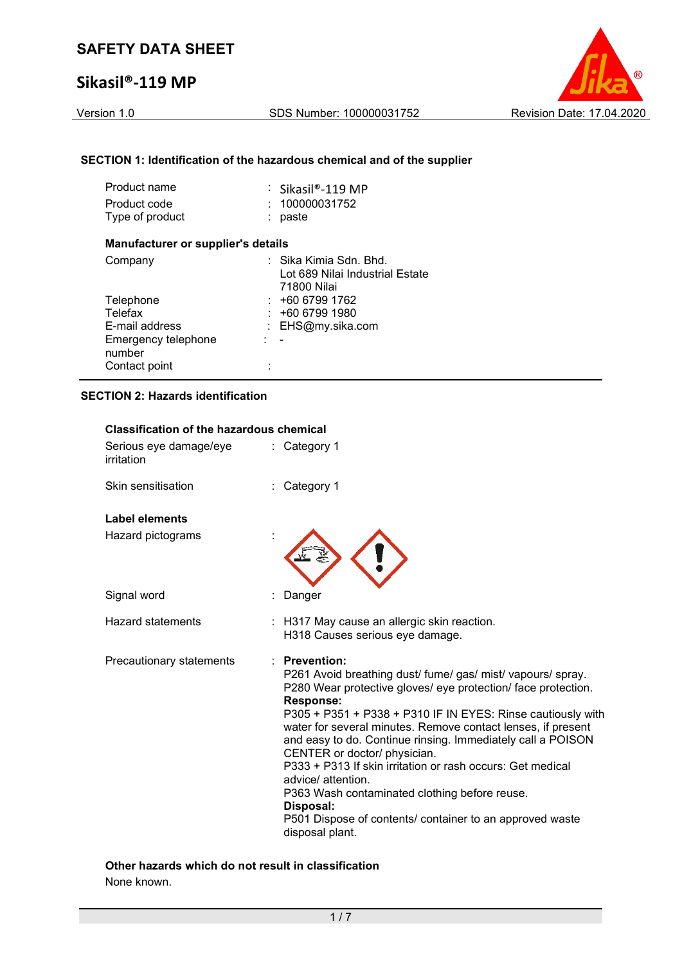## Sikasil®-119 MP

Version 1.0 SDS Number: 100000031752 Revision Date: 17.04.2020

## SECTION 1: Identification of the hazardous chemical and of the supplier

| Product name<br>Product code<br>Type of product |     | $\therefore$ Sikasil®-119 MP<br>100000031752<br>paste                    |
|-------------------------------------------------|-----|--------------------------------------------------------------------------|
| <b>Manufacturer or supplier's details</b>       |     |                                                                          |
| Company                                         |     | : Sika Kimia Sdn. Bhd.<br>Lot 689 Nilai Industrial Estate<br>71800 Nilai |
| Telephone                                       |     | +60 6799 1762                                                            |
| Telefax                                         |     | +60 6799 1980                                                            |
| E-mail address                                  | t.  | EHS@my.sika.com                                                          |
| Emergency telephone<br>number                   | - - |                                                                          |
| Contact point                                   |     |                                                                          |

## SECTION 2: Hazards identification

| <b>Classification of the hazardous chemical</b><br>Serious eye damage/eye<br>irritation | : Category 1                                                                                                                                                                                                                                                                                                                                                                                                                                                                                                                                                                                                                               |
|-----------------------------------------------------------------------------------------|--------------------------------------------------------------------------------------------------------------------------------------------------------------------------------------------------------------------------------------------------------------------------------------------------------------------------------------------------------------------------------------------------------------------------------------------------------------------------------------------------------------------------------------------------------------------------------------------------------------------------------------------|
| Skin sensitisation                                                                      | Category 1                                                                                                                                                                                                                                                                                                                                                                                                                                                                                                                                                                                                                                 |
| <b>Label elements</b>                                                                   |                                                                                                                                                                                                                                                                                                                                                                                                                                                                                                                                                                                                                                            |
| Hazard pictograms                                                                       |                                                                                                                                                                                                                                                                                                                                                                                                                                                                                                                                                                                                                                            |
| Signal word                                                                             | Danger                                                                                                                                                                                                                                                                                                                                                                                                                                                                                                                                                                                                                                     |
| <b>Hazard statements</b>                                                                | : H317 May cause an allergic skin reaction.<br>H318 Causes serious eye damage.                                                                                                                                                                                                                                                                                                                                                                                                                                                                                                                                                             |
| Precautionary statements                                                                | $\therefore$ Prevention:<br>P261 Avoid breathing dust/ fume/ gas/ mist/ vapours/ spray.<br>P280 Wear protective gloves/ eye protection/ face protection.<br><b>Response:</b><br>P305 + P351 + P338 + P310 IF IN EYES: Rinse cautiously with<br>water for several minutes. Remove contact lenses, if present<br>and easy to do. Continue rinsing. Immediately call a POISON<br>CENTER or doctor/ physician.<br>P333 + P313 If skin irritation or rash occurs: Get medical<br>advice/attention.<br>P363 Wash contaminated clothing before reuse.<br>Disposal:<br>P501 Dispose of contents/ container to an approved waste<br>disposal plant. |

Other hazards which do not result in classification None known.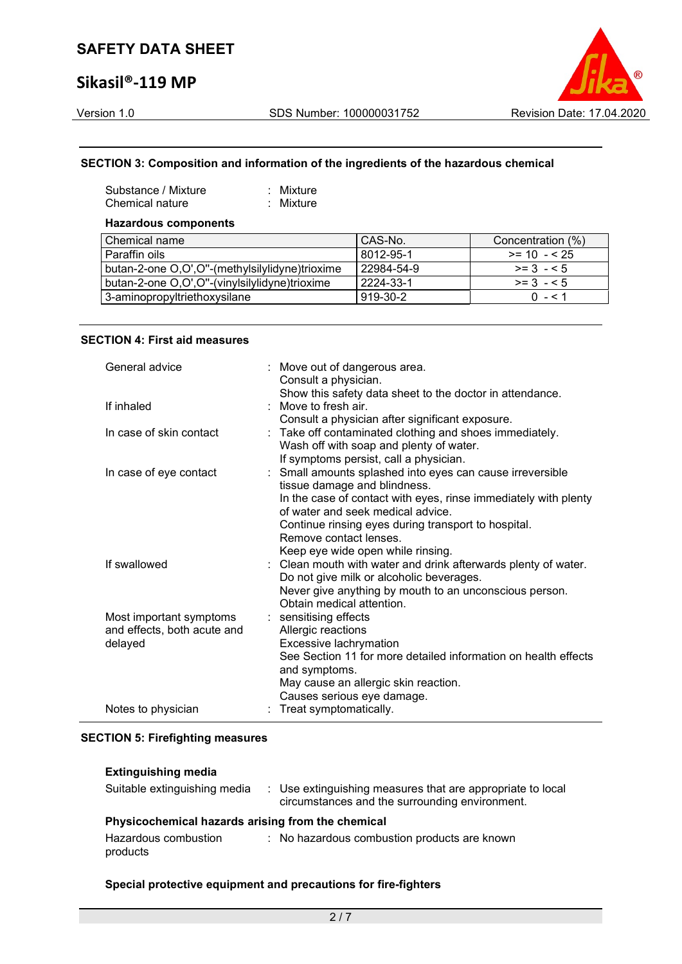## Sikasil®-119 MP

### SECTION 3: Composition and information of the ingredients of the hazardous chemical

| Substance / Mixture | $:$ Mixture |
|---------------------|-------------|
| Chemical nature     | : Mixture   |

### Hazardous components

| Chemical name                                   | CAS-No.    | Concentration (%) |
|-------------------------------------------------|------------|-------------------|
| l Paraffin oils                                 | 8012-95-1  | $>= 10 - 525$     |
| butan-2-one O,O',O''-(methylsilylidyne)trioxime | 22984-54-9 | $>= 3 - 5$        |
| butan-2-one O,O',O''-(vinylsilylidyne)trioxime  | 2224-33-1  | $>= 3 - 5$        |
| 3-aminopropyltriethoxysilane                    | 919-30-2   | $0 - 51$          |

#### SECTION 4: First aid measures

| General advice              | : Move out of dangerous area.<br>Consult a physician.           |
|-----------------------------|-----------------------------------------------------------------|
|                             | Show this safety data sheet to the doctor in attendance.        |
| If inhaled                  | : Move to fresh air.                                            |
|                             | Consult a physician after significant exposure.                 |
| In case of skin contact     | : Take off contaminated clothing and shoes immediately.         |
|                             | Wash off with soap and plenty of water.                         |
|                             | If symptoms persist, call a physician.                          |
| In case of eye contact      | : Small amounts splashed into eyes can cause irreversible       |
|                             | tissue damage and blindness.                                    |
|                             | In the case of contact with eyes, rinse immediately with plenty |
|                             | of water and seek medical advice.                               |
|                             | Continue rinsing eyes during transport to hospital.             |
|                             | Remove contact lenses.                                          |
|                             | Keep eye wide open while rinsing.                               |
| If swallowed                | : Clean mouth with water and drink afterwards plenty of water.  |
|                             | Do not give milk or alcoholic beverages.                        |
|                             | Never give anything by mouth to an unconscious person.          |
|                             | Obtain medical attention.                                       |
| Most important symptoms     | : sensitising effects                                           |
| and effects, both acute and | Allergic reactions                                              |
| delayed                     | Excessive lachrymation                                          |
|                             | See Section 11 for more detailed information on health effects  |
|                             | and symptoms.                                                   |
|                             | May cause an allergic skin reaction.                            |
|                             | Causes serious eye damage.                                      |
| Notes to physician          | : Treat symptomatically.                                        |

#### SECTION 5: Firefighting measures

#### Extinguishing media

| Suitable extinguishing media                      | : Use extinguishing measures that are appropriate to local<br>circumstances and the surrounding environment. |
|---------------------------------------------------|--------------------------------------------------------------------------------------------------------------|
| Physicochemical hazards arising from the chemical |                                                                                                              |
| Hazardous combustion<br>products                  | : No hazardous combustion products are known                                                                 |

### Special protective equipment and precautions for fire-fighters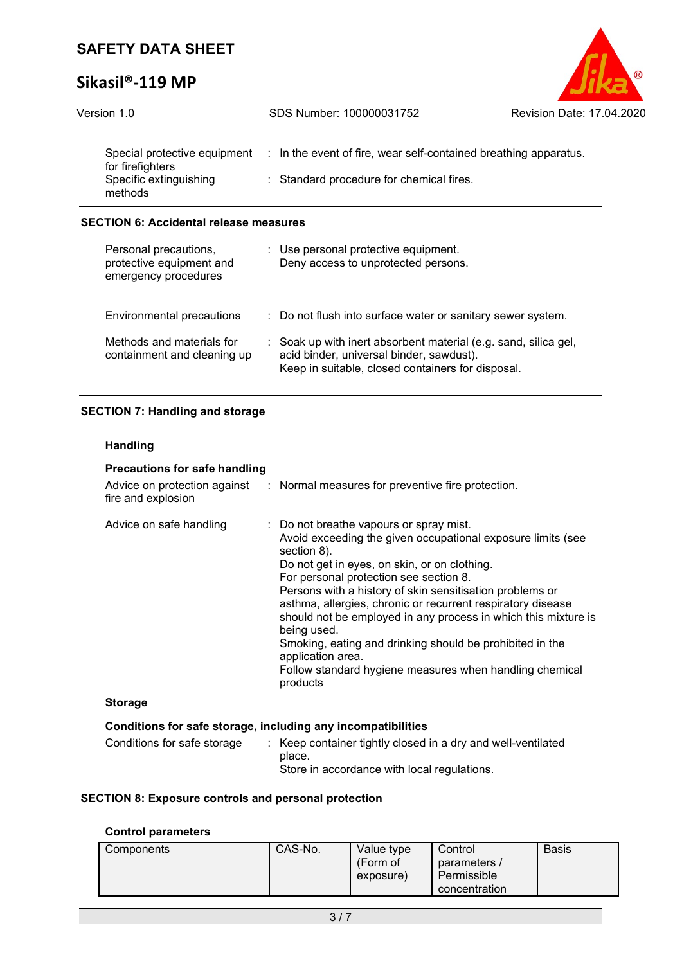# Sikasil®-119 MP



| Version 1.0                                      | SDS Number: 100000031752                                         | Revision Date: 17.04.2 |
|--------------------------------------------------|------------------------------------------------------------------|------------------------|
|                                                  |                                                                  |                        |
| Special protective equipment<br>for firefighters | : In the event of fire, wear self-contained breathing apparatus. |                        |
| Specific extinguishing<br>methods                | : Standard procedure for chemical fires.                         |                        |

## SECTION 6: Accidental release measures

| Personal precautions,<br>protective equipment and<br>emergency procedures | : Use personal protective equipment.<br>Deny access to unprotected persons.                                                                                      |
|---------------------------------------------------------------------------|------------------------------------------------------------------------------------------------------------------------------------------------------------------|
| Environmental precautions                                                 | : Do not flush into surface water or sanitary sewer system.                                                                                                      |
| Methods and materials for<br>containment and cleaning up                  | : Soak up with inert absorbent material (e.g. sand, silica gel,<br>acid binder, universal binder, sawdust).<br>Keep in suitable, closed containers for disposal. |

## SECTION 7: Handling and storage

## Handling

| <b>Precautions for safe handling</b><br>fire and explosion   | Advice on protection against : Normal measures for preventive fire protection.                                                                                                                                                                                                                                                                                                                                                                                                                                                                                                      |
|--------------------------------------------------------------|-------------------------------------------------------------------------------------------------------------------------------------------------------------------------------------------------------------------------------------------------------------------------------------------------------------------------------------------------------------------------------------------------------------------------------------------------------------------------------------------------------------------------------------------------------------------------------------|
| Advice on safe handling                                      | : Do not breathe vapours or spray mist.<br>Avoid exceeding the given occupational exposure limits (see<br>section 8).<br>Do not get in eyes, on skin, or on clothing.<br>For personal protection see section 8.<br>Persons with a history of skin sensitisation problems or<br>asthma, allergies, chronic or recurrent respiratory disease<br>should not be employed in any process in which this mixture is<br>being used.<br>Smoking, eating and drinking should be prohibited in the<br>application area.<br>Follow standard hygiene measures when handling chemical<br>products |
| <b>Storage</b>                                               |                                                                                                                                                                                                                                                                                                                                                                                                                                                                                                                                                                                     |
| Conditions for safe storage, including any incompatibilities |                                                                                                                                                                                                                                                                                                                                                                                                                                                                                                                                                                                     |
| Conditions for safe storage                                  | : Keep container tightly closed in a dry and well-ventilated<br>place.<br>Store in accordance with local regulations.                                                                                                                                                                                                                                                                                                                                                                                                                                                               |

## SECTION 8: Exposure controls and personal protection

## Control parameters

| Components | CAS-No. | Value type<br>(Form of<br>exposure) | Control<br>parameters /<br>Permissible<br>concentration | <b>Basis</b> |
|------------|---------|-------------------------------------|---------------------------------------------------------|--------------|
|------------|---------|-------------------------------------|---------------------------------------------------------|--------------|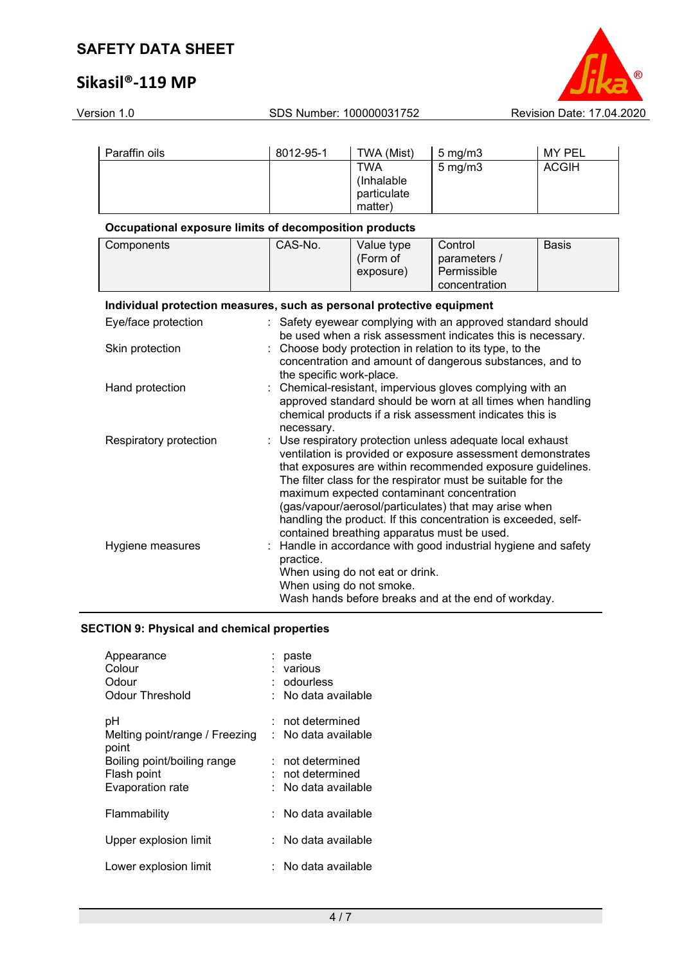# Sikasil®-119 MP



| Version 1.0<br>SDS Number: 100000031752                               |                          | Revision Date: 17.04.2020                                   |                                                                                                                                                                                                                                                                                                                                                                                                                                |               |
|-----------------------------------------------------------------------|--------------------------|-------------------------------------------------------------|--------------------------------------------------------------------------------------------------------------------------------------------------------------------------------------------------------------------------------------------------------------------------------------------------------------------------------------------------------------------------------------------------------------------------------|---------------|
|                                                                       |                          |                                                             |                                                                                                                                                                                                                                                                                                                                                                                                                                |               |
| Paraffin oils                                                         | 8012-95-1                | TWA (Mist)                                                  | $5$ mg/m $3$                                                                                                                                                                                                                                                                                                                                                                                                                   | <b>MY PEL</b> |
|                                                                       |                          | <b>TWA</b><br>(Inhalable<br>particulate<br>matter)          | $5$ mg/m $3$                                                                                                                                                                                                                                                                                                                                                                                                                   | <b>ACGIH</b>  |
| Occupational exposure limits of decomposition products                |                          |                                                             |                                                                                                                                                                                                                                                                                                                                                                                                                                |               |
| Components                                                            | CAS-No.                  | Value type<br>(Form of<br>exposure)                         | Control<br>parameters /<br>Permissible<br>concentration                                                                                                                                                                                                                                                                                                                                                                        | <b>Basis</b>  |
| Individual protection measures, such as personal protective equipment |                          |                                                             |                                                                                                                                                                                                                                                                                                                                                                                                                                |               |
| Eye/face protection                                                   | ÷.                       |                                                             | Safety eyewear complying with an approved standard should                                                                                                                                                                                                                                                                                                                                                                      |               |
| Skin protection                                                       | the specific work-place. |                                                             | be used when a risk assessment indicates this is necessary.<br>Choose body protection in relation to its type, to the<br>concentration and amount of dangerous substances, and to                                                                                                                                                                                                                                              |               |
| Hand protection                                                       | ÷.                       |                                                             | Chemical-resistant, impervious gloves complying with an<br>approved standard should be worn at all times when handling<br>chemical products if a risk assessment indicates this is                                                                                                                                                                                                                                             |               |
| Respiratory protection                                                | necessary.               | contained breathing apparatus must be used.                 | Use respiratory protection unless adequate local exhaust<br>ventilation is provided or exposure assessment demonstrates<br>that exposures are within recommended exposure guidelines.<br>The filter class for the respirator must be suitable for the<br>maximum expected contaminant concentration<br>(gas/vapour/aerosol/particulates) that may arise when<br>handling the product. If this concentration is exceeded, self- |               |
| Hygiene measures                                                      | practice.                | When using do not eat or drink.<br>When using do not smoke. | Handle in accordance with good industrial hygiene and safety<br>Wash hands before breaks and at the end of workday.                                                                                                                                                                                                                                                                                                            |               |

# SECTION 9: Physical and chemical properties

| Appearance<br>Colour<br>Odour<br>Odour Threshold | paste<br>: various<br>: odourless<br>: No data available |
|--------------------------------------------------|----------------------------------------------------------|
| рH<br>Melting point/range / Freezing<br>point    | not determined<br>$:$ No data available                  |
| Boiling point/boiling range                      | $:$ not determined<br>not determined                     |
| Flash point<br>Evaporation rate                  | : No data available                                      |
| Flammability                                     | No data available                                        |
| Upper explosion limit                            | No data available                                        |
| Lower explosion limit                            | : No data available                                      |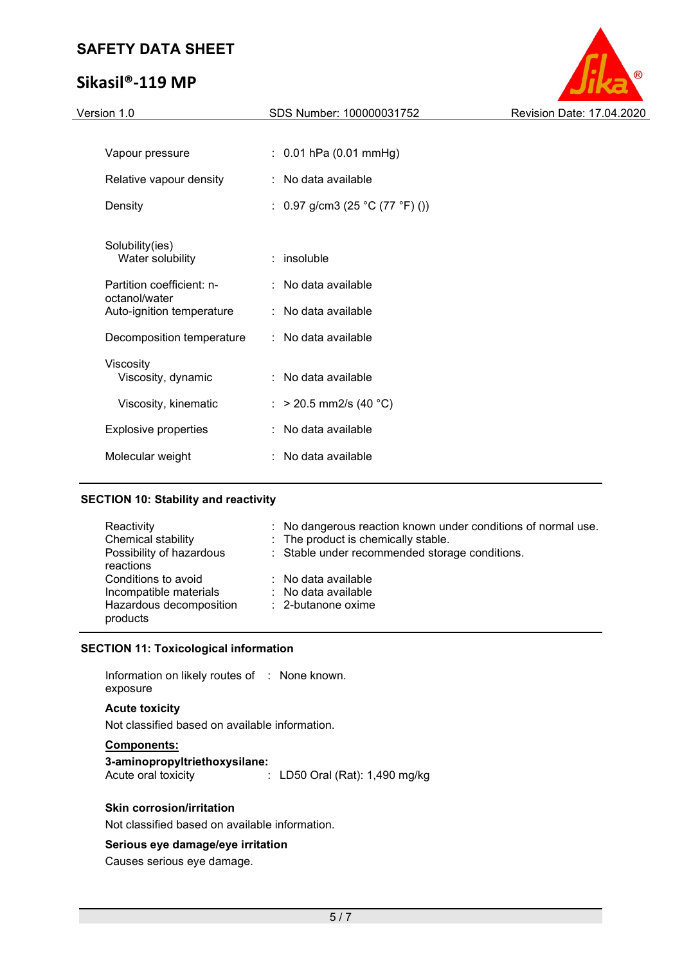# Sikasil®-119 MP



| Version 1.0                                | SDS Number: 100000031752        | Revision Date: 17.04.2020 |
|--------------------------------------------|---------------------------------|---------------------------|
|                                            |                                 |                           |
| Vapour pressure                            | $: 0.01$ hPa (0.01 mmHg)        |                           |
| Relative vapour density                    | : No data available             |                           |
| Density                                    | : 0.97 g/cm3 (25 °C (77 °F) ()) |                           |
| Solubility(ies)                            |                                 |                           |
| Water solubility                           | $:$ insoluble                   |                           |
| Partition coefficient: n-                  | : No data available             |                           |
| octanol/water<br>Auto-ignition temperature | : No data available             |                           |
| Decomposition temperature                  | : No data available             |                           |
| Viscosity                                  |                                 |                           |
| Viscosity, dynamic                         | : No data available             |                           |
| Viscosity, kinematic                       | : > 20.5 mm2/s (40 °C)          |                           |
| <b>Explosive properties</b>                | : No data available             |                           |
| Molecular weight                           | No data available               |                           |
|                                            |                                 |                           |

### SECTION 10: Stability and reactivity

| Reactivity               | : No dangerous reaction known under conditions of normal use. |
|--------------------------|---------------------------------------------------------------|
| Chemical stability       | : The product is chemically stable.                           |
| Possibility of hazardous | : Stable under recommended storage conditions.                |
| reactions                |                                                               |
| Conditions to avoid      | $\therefore$ No data available                                |
| Incompatible materials   | : No data available                                           |
| Hazardous decomposition  | $\therefore$ 2-butanone oxime                                 |
| products                 |                                                               |

## SECTION 11: Toxicological information

Information on likely routes of : None known. exposure

## Acute toxicity

Not classified based on available information.

#### Components:

3-aminopropyltriethoxysilane: Acute oral toxicity : LD50 Oral (Rat): 1,490 mg/kg

## Skin corrosion/irritation

Not classified based on available information.

### Serious eye damage/eye irritation

Causes serious eye damage.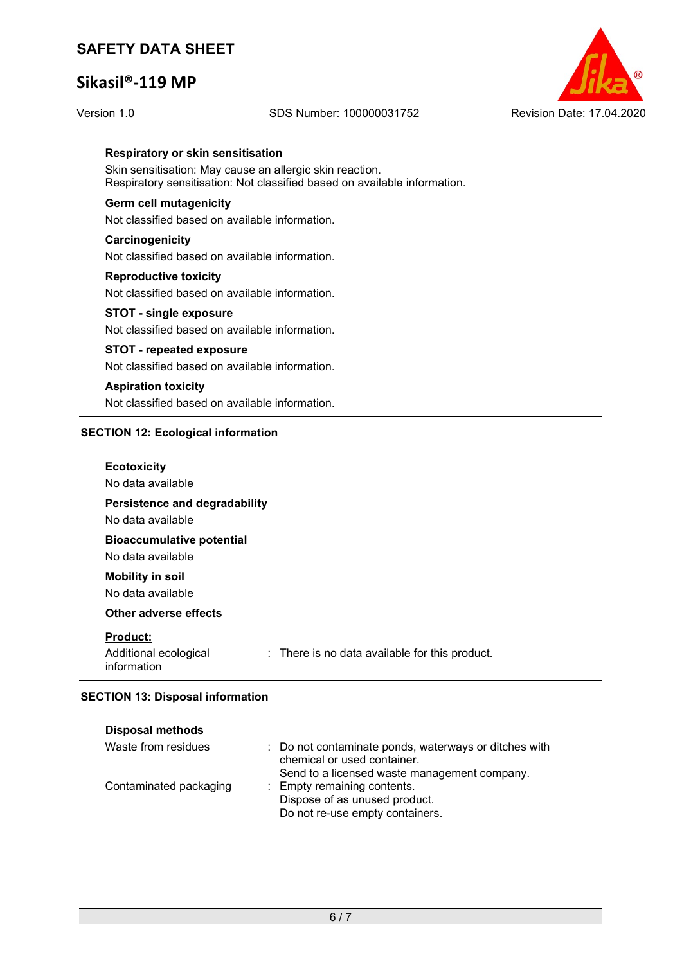# Sikasil®-119 MP

#### Version 1.0 SDS Number: 100000031752 Revision Date: 17.04.2020



### Respiratory or skin sensitisation

Skin sensitisation: May cause an allergic skin reaction. Respiratory sensitisation: Not classified based on available information.

#### Germ cell mutagenicity

Not classified based on available information.

## **Carcinogenicity** Not classified based on available information.

Reproductive toxicity Not classified based on available information.

## STOT - single exposure Not classified based on available information.

STOT - repeated exposure Not classified based on available information.

## Aspiration toxicity Not classified based on available information.

### SECTION 12: Ecological information

| <b>Ecotoxicity</b><br>No data available                 |                                                           |
|---------------------------------------------------------|-----------------------------------------------------------|
| Persistence and degradability<br>No data available      |                                                           |
| <b>Bioaccumulative potential</b><br>No data available   |                                                           |
| <b>Mobility in soil</b><br>No data available            |                                                           |
| <b>Other adverse effects</b>                            |                                                           |
| <b>Product:</b><br>Additional ecological<br>information | $\therefore$ There is no data available for this product. |

## SECTION 13: Disposal information

| <b>Disposal methods</b> |                                                                                                                                      |
|-------------------------|--------------------------------------------------------------------------------------------------------------------------------------|
| Waste from residues     | : Do not contaminate ponds, waterways or ditches with<br>chemical or used container.<br>Send to a licensed waste management company. |
| Contaminated packaging  | : Empty remaining contents.<br>Dispose of as unused product.<br>Do not re-use empty containers.                                      |